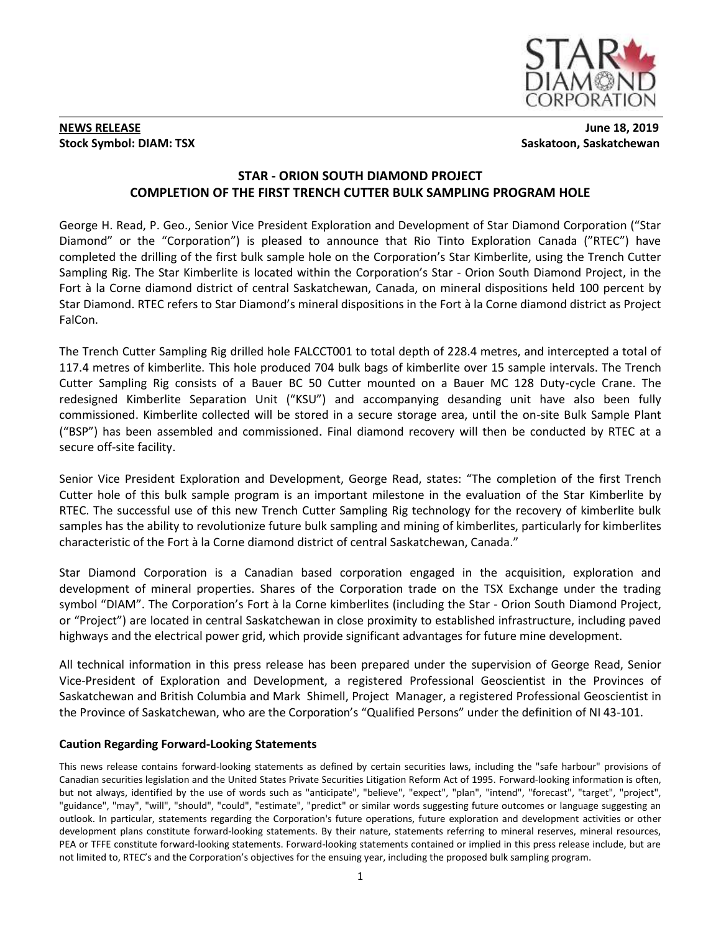

## **NEWS RELEASE** June 18, 2019 **Stock Symbol: DIAM: TSX** Saskatoon, Saskatchewan

# **STAR - ORION SOUTH DIAMOND PROJECT COMPLETION OF THE FIRST TRENCH CUTTER BULK SAMPLING PROGRAM HOLE**

George H. Read, P. Geo., Senior Vice President Exploration and Development of Star Diamond Corporation ("Star Diamond" or the "Corporation") is pleased to announce that Rio Tinto Exploration Canada ("RTEC") have completed the drilling of the first bulk sample hole on the Corporation's Star Kimberlite, using the Trench Cutter Sampling Rig. The Star Kimberlite is located within the Corporation's Star - Orion South Diamond Project, in the Fort à la Corne diamond district of central Saskatchewan, Canada, on mineral dispositions held 100 percent by Star Diamond. RTEC refers to Star Diamond's mineral dispositions in the Fort à la Corne diamond district as Project FalCon.

The Trench Cutter Sampling Rig drilled hole FALCCT001 to total depth of 228.4 metres, and intercepted a total of 117.4 metres of kimberlite. This hole produced 704 bulk bags of kimberlite over 15 sample intervals. The Trench Cutter Sampling Rig consists of a Bauer BC 50 Cutter mounted on a Bauer MC 128 Duty-cycle Crane. The redesigned Kimberlite Separation Unit ("KSU") and accompanying desanding unit have also been fully commissioned. Kimberlite collected will be stored in a secure storage area, until the on-site Bulk Sample Plant ("BSP") has been assembled and commissioned. Final diamond recovery will then be conducted by RTEC at a secure off-site facility.

Senior Vice President Exploration and Development, George Read, states: "The completion of the first Trench Cutter hole of this bulk sample program is an important milestone in the evaluation of the Star Kimberlite by RTEC. The successful use of this new Trench Cutter Sampling Rig technology for the recovery of kimberlite bulk samples has the ability to revolutionize future bulk sampling and mining of kimberlites, particularly for kimberlites characteristic of the Fort à la Corne diamond district of central Saskatchewan, Canada."

Star Diamond Corporation is a Canadian based corporation engaged in the acquisition, exploration and development of mineral properties. Shares of the Corporation trade on the TSX Exchange under the trading symbol "DIAM". The Corporation's Fort à la Corne kimberlites (including the Star - Orion South Diamond Project, or "Project") are located in central Saskatchewan in close proximity to established infrastructure, including paved highways and the electrical power grid, which provide significant advantages for future mine development.

All technical information in this press release has been prepared under the supervision of George Read, Senior Vice-President of Exploration and Development, a registered Professional Geoscientist in the Provinces of Saskatchewan and British Columbia and Mark Shimell, Project Manager, a registered Professional Geoscientist in the Province of Saskatchewan, who are the Corporation's "Qualified Persons" under the definition of NI 43-101.

## **Caution Regarding Forward-Looking Statements**

This news release contains forward-looking statements as defined by certain securities laws, including the "safe harbour" provisions of Canadian securities legislation and the United States Private Securities Litigation Reform Act of 1995. Forward-looking information is often, but not always, identified by the use of words such as "anticipate", "believe", "expect", "plan", "intend", "forecast", "target", "project", "guidance", "may", "will", "should", "could", "estimate", "predict" or similar words suggesting future outcomes or language suggesting an outlook. In particular, statements regarding the Corporation's future operations, future exploration and development activities or other development plans constitute forward-looking statements. By their nature, statements referring to mineral reserves, mineral resources, PEA or TFFE constitute forward-looking statements. Forward-looking statements contained or implied in this press release include, but are not limited to, RTEC's and the Corporation's objectives for the ensuing year, including the proposed bulk sampling program.